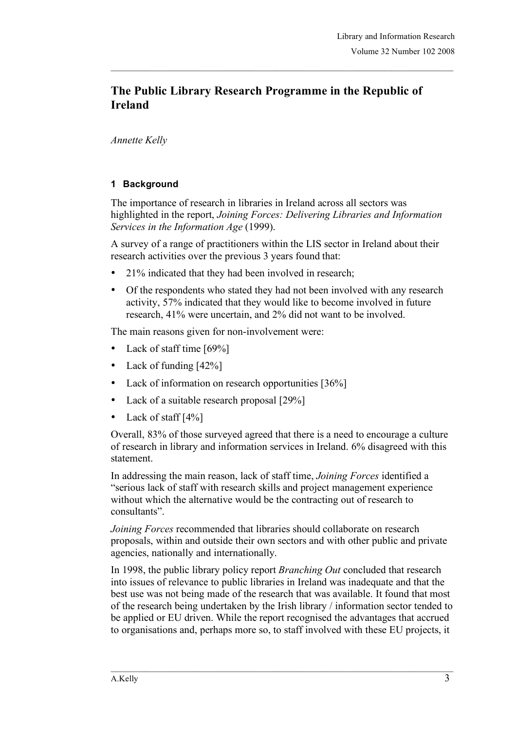# **The Public Library Research Programme in the Republic of Ireland**

*Annette Kelly*

## **1 Background**

The importance of research in libraries in Ireland across all sectors was highlighted in the report, *Joining Forces: Delivering Libraries and Information Services in the Information Age* (1999).

A survey of a range of practitioners within the LIS sector in Ireland about their research activities over the previous 3 years found that:

- 21% indicated that they had been involved in research;
- Of the respondents who stated they had not been involved with any research activity, 57% indicated that they would like to become involved in future research, 41% were uncertain, and 2% did not want to be involved.

The main reasons given for non-involvement were:

- Lack of staff time [69%]
- Lack of funding [42%]
- Lack of information on research opportunities [36%]
- Lack of a suitable research proposal [29%]
- Lack of staff [4%]

Overall, 83% of those surveyed agreed that there is a need to encourage a culture of research in library and information services in Ireland. 6% disagreed with this statement.

In addressing the main reason, lack of staff time, *Joining Forces* identified a "serious lack of staff with research skills and project management experience without which the alternative would be the contracting out of research to consultants".

*Joining Forces* recommended that libraries should collaborate on research proposals, within and outside their own sectors and with other public and private agencies, nationally and internationally.

In 1998, the public library policy report *Branching Out* concluded that research into issues of relevance to public libraries in Ireland was inadequate and that the best use was not being made of the research that was available. It found that most of the research being undertaken by the Irish library / information sector tended to be applied or EU driven. While the report recognised the advantages that accrued to organisations and, perhaps more so, to staff involved with these EU projects, it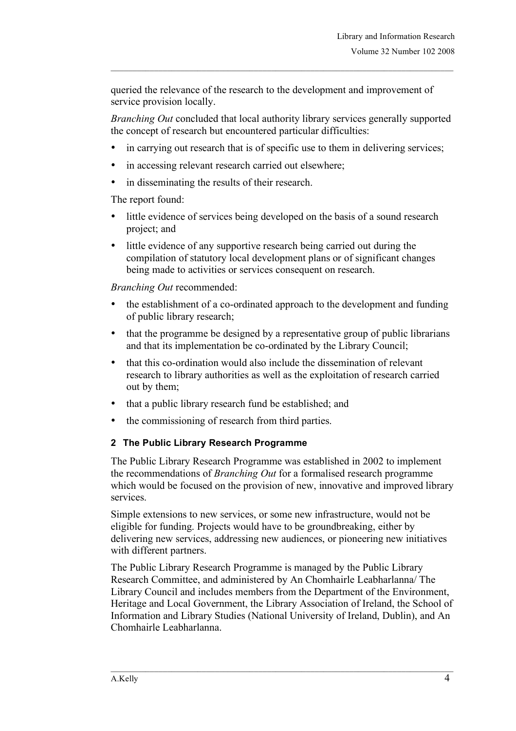queried the relevance of the research to the development and improvement of service provision locally.

*Branching Out* concluded that local authority library services generally supported the concept of research but encountered particular difficulties:

- in carrying out research that is of specific use to them in delivering services;
- in accessing relevant research carried out elsewhere;
- in disseminating the results of their research.

The report found:

- little evidence of services being developed on the basis of a sound research project; and
- little evidence of any supportive research being carried out during the compilation of statutory local development plans or of significant changes being made to activities or services consequent on research.

*Branching Out* recommended:

- the establishment of a co-ordinated approach to the development and funding of public library research;
- that the programme be designed by a representative group of public librarians and that its implementation be co-ordinated by the Library Council;
- that this co-ordination would also include the dissemination of relevant research to library authorities as well as the exploitation of research carried out by them;
- that a public library research fund be established; and
- the commissioning of research from third parties.

#### **2 The Public Library Research Programme**

The Public Library Research Programme was established in 2002 to implement the recommendations of *Branching Out* for a formalised research programme which would be focused on the provision of new, innovative and improved library services.

Simple extensions to new services, or some new infrastructure, would not be eligible for funding. Projects would have to be groundbreaking, either by delivering new services, addressing new audiences, or pioneering new initiatives with different partners.

The Public Library Research Programme is managed by the Public Library Research Committee, and administered by An Chomhairle Leabharlanna/ The Library Council and includes members from the Department of the Environment, Heritage and Local Government, the Library Association of Ireland, the School of Information and Library Studies (National University of Ireland, Dublin), and An Chomhairle Leabharlanna.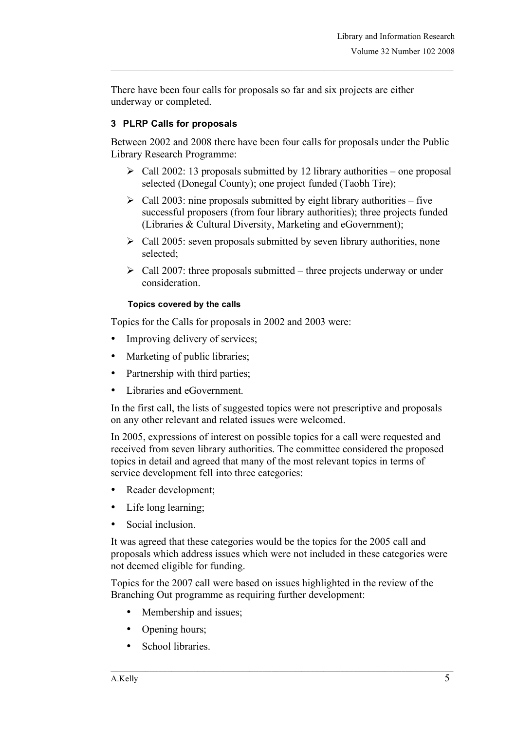There have been four calls for proposals so far and six projects are either underway or completed.

## **3 PLRP Calls for proposals**

Between 2002 and 2008 there have been four calls for proposals under the Public Library Research Programme:

- $\triangleright$  Call 2002: 13 proposals submitted by 12 library authorities one proposal selected (Donegal County); one project funded (Taobh Tire);
- $\triangleright$  Call 2003: nine proposals submitted by eight library authorities five successful proposers (from four library authorities); three projects funded (Libraries & Cultural Diversity, Marketing and eGovernment);
- $\triangleright$  Call 2005: seven proposals submitted by seven library authorities, none selected;
- $\geq$  Call 2007: three proposals submitted three projects underway or under consideration.

#### **Topics covered by the calls**

Topics for the Calls for proposals in 2002 and 2003 were:

- Improving delivery of services;
- Marketing of public libraries;
- Partnership with third parties;
- Libraries and eGovernment.

In the first call, the lists of suggested topics were not prescriptive and proposals on any other relevant and related issues were welcomed.

In 2005, expressions of interest on possible topics for a call were requested and received from seven library authorities. The committee considered the proposed topics in detail and agreed that many of the most relevant topics in terms of service development fell into three categories:

- Reader development;
- Life long learning;
- Social inclusion.

It was agreed that these categories would be the topics for the 2005 call and proposals which address issues which were not included in these categories were not deemed eligible for funding.

 $\_$  , and the state of the state of the state of the state of the state of the state of the state of the state of the state of the state of the state of the state of the state of the state of the state of the state of the

Topics for the 2007 call were based on issues highlighted in the review of the Branching Out programme as requiring further development:

- Membership and issues;
- Opening hours;
- School libraries.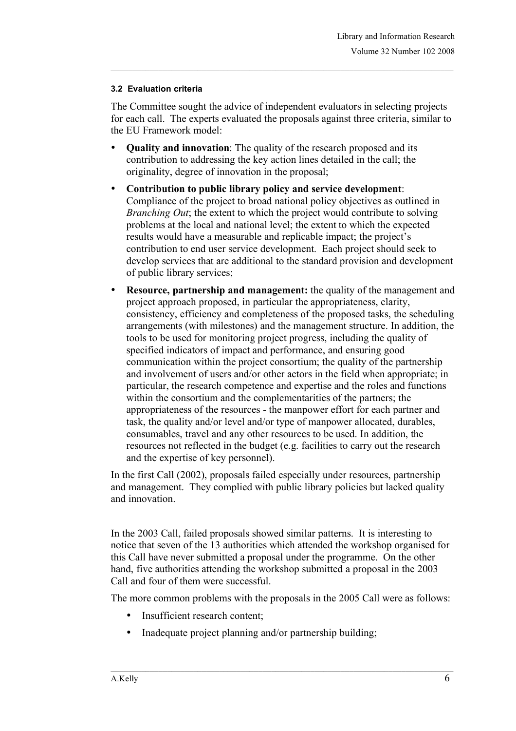#### **3.2 Evaluation criteria**

The Committee sought the advice of independent evaluators in selecting projects for each call. The experts evaluated the proposals against three criteria, similar to the EU Framework model:

- **Quality and innovation**: The quality of the research proposed and its contribution to addressing the key action lines detailed in the call; the originality, degree of innovation in the proposal;
- **Contribution to public library policy and service development**: Compliance of the project to broad national policy objectives as outlined in *Branching Out*; the extent to which the project would contribute to solving problems at the local and national level; the extent to which the expected results would have a measurable and replicable impact; the project's contribution to end user service development. Each project should seek to develop services that are additional to the standard provision and development of public library services;
- **Resource, partnership and management:** the quality of the management and project approach proposed, in particular the appropriateness, clarity, consistency, efficiency and completeness of the proposed tasks, the scheduling arrangements (with milestones) and the management structure. In addition, the tools to be used for monitoring project progress, including the quality of specified indicators of impact and performance, and ensuring good communication within the project consortium; the quality of the partnership and involvement of users and/or other actors in the field when appropriate; in particular, the research competence and expertise and the roles and functions within the consortium and the complementarities of the partners; the appropriateness of the resources - the manpower effort for each partner and task, the quality and/or level and/or type of manpower allocated, durables, consumables, travel and any other resources to be used. In addition, the resources not reflected in the budget (e.g. facilities to carry out the research and the expertise of key personnel).

In the first Call (2002), proposals failed especially under resources, partnership and management. They complied with public library policies but lacked quality and innovation.

In the 2003 Call, failed proposals showed similar patterns. It is interesting to notice that seven of the 13 authorities which attended the workshop organised for this Call have never submitted a proposal under the programme. On the other hand, five authorities attending the workshop submitted a proposal in the 2003 Call and four of them were successful.

The more common problems with the proposals in the 2005 Call were as follows:

- Insufficient research content;
- Inadequate project planning and/or partnership building;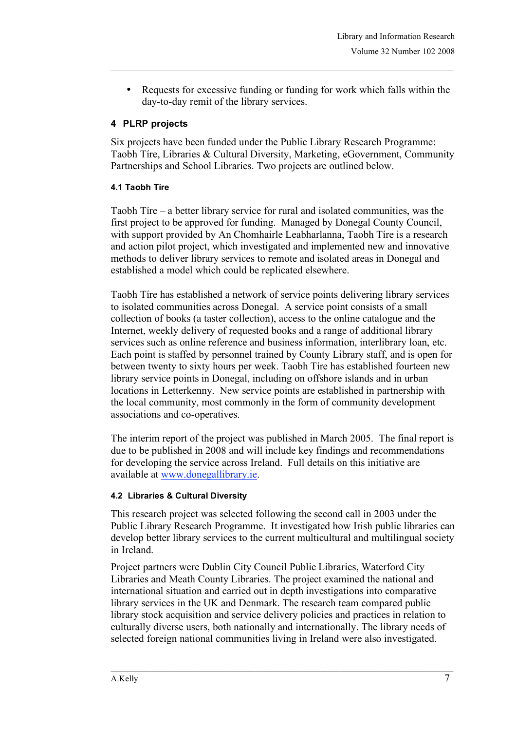• Requests for excessive funding or funding for work which falls within the day-to-day remit of the library services.

## **4 PLRP projects**

Six projects have been funded under the Public Library Research Programme: Taobh Tíre, Libraries & Cultural Diversity, Marketing, eGovernment, Community Partnerships and School Libraries. Two projects are outlined below.

## **4.1 Taobh Tíre**

Taobh Tíre – a better library service for rural and isolated communities, was the first project to be approved for funding. Managed by Donegal County Council, with support provided by An Chomhairle Leabharlanna, Taobh Tíre is a research and action pilot project, which investigated and implemented new and innovative methods to deliver library services to remote and isolated areas in Donegal and established a model which could be replicated elsewhere.

Taobh Tíre has established a network of service points delivering library services to isolated communities across Donegal. A service point consists of a small collection of books (a taster collection), access to the online catalogue and the Internet, weekly delivery of requested books and a range of additional library services such as online reference and business information, interlibrary loan, etc. Each point is staffed by personnel trained by County Library staff, and is open for between twenty to sixty hours per week. Taobh Tíre has established fourteen new library service points in Donegal, including on offshore islands and in urban locations in Letterkenny. New service points are established in partnership with the local community, most commonly in the form of community development associations and co-operatives.

The interim report of the project was published in March 2005. The final report is due to be published in 2008 and will include key findings and recommendations for developing the service across Ireland. Full details on this initiative are available at www.donegallibrary.ie.

## **4.2 Libraries & Cultural Diversity**

This research project was selected following the second call in 2003 under the Public Library Research Programme. It investigated how Irish public libraries can develop better library services to the current multicultural and multilingual society in Ireland.

Project partners were Dublin City Council Public Libraries, Waterford City Libraries and Meath County Libraries. The project examined the national and international situation and carried out in depth investigations into comparative library services in the UK and Denmark. The research team compared public library stock acquisition and service delivery policies and practices in relation to culturally diverse users, both nationally and internationally. The library needs of selected foreign national communities living in Ireland were also investigated.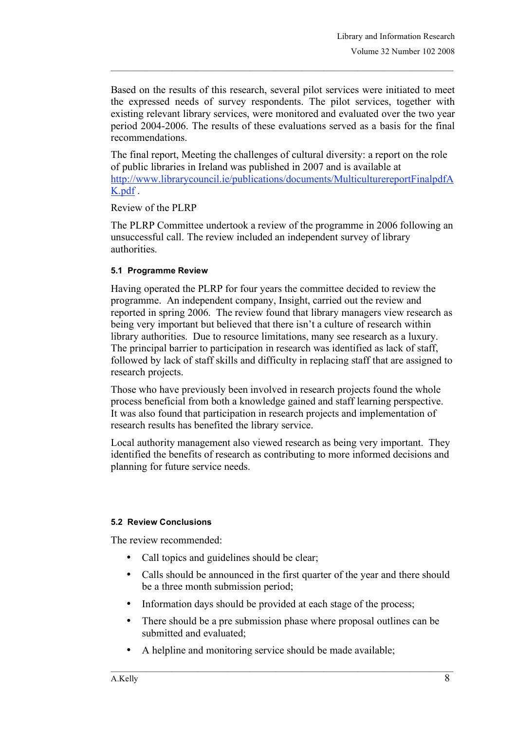Based on the results of this research, several pilot services were initiated to meet the expressed needs of survey respondents. The pilot services, together with existing relevant library services, were monitored and evaluated over the two year period 2004-2006. The results of these evaluations served as a basis for the final recommendations.

The final report, Meeting the challenges of cultural diversity: a report on the role of public libraries in Ireland was published in 2007 and is available at http://www.librarycouncil.ie/publications/documents/MulticulturereportFinalpdfA K.pdf .

Review of the PLRP

The PLRP Committee undertook a review of the programme in 2006 following an unsuccessful call. The review included an independent survey of library authorities.

#### **5.1 Programme Review**

Having operated the PLRP for four years the committee decided to review the programme. An independent company, Insight, carried out the review and reported in spring 2006. The review found that library managers view research as being very important but believed that there isn't a culture of research within library authorities. Due to resource limitations, many see research as a luxury. The principal barrier to participation in research was identified as lack of staff, followed by lack of staff skills and difficulty in replacing staff that are assigned to research projects.

Those who have previously been involved in research projects found the whole process beneficial from both a knowledge gained and staff learning perspective. It was also found that participation in research projects and implementation of research results has benefited the library service.

Local authority management also viewed research as being very important. They identified the benefits of research as contributing to more informed decisions and planning for future service needs.

#### **5.2 Review Conclusions**

The review recommended:

- Call topics and guidelines should be clear;
- Calls should be announced in the first quarter of the year and there should be a three month submission period;
- Information days should be provided at each stage of the process;
- There should be a pre submission phase where proposal outlines can be submitted and evaluated;

 $\_$  , and the state of the state of the state of the state of the state of the state of the state of the state of the state of the state of the state of the state of the state of the state of the state of the state of the

• A helpline and monitoring service should be made available;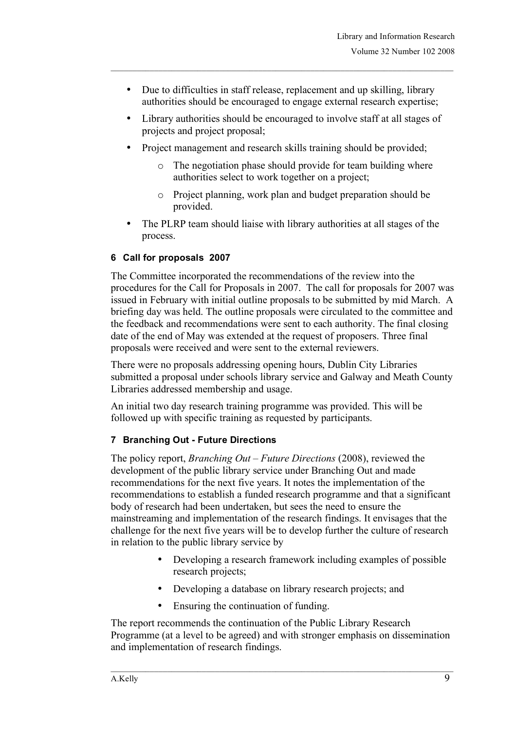- Due to difficulties in staff release, replacement and up skilling, library authorities should be encouraged to engage external research expertise;
- Library authorities should be encouraged to involve staff at all stages of projects and project proposal;
- Project management and research skills training should be provided;
	- o The negotiation phase should provide for team building where authorities select to work together on a project;
	- o Project planning, work plan and budget preparation should be provided.
- The PLRP team should liaise with library authorities at all stages of the process.

## **6 Call for proposals 2007**

The Committee incorporated the recommendations of the review into the procedures for the Call for Proposals in 2007. The call for proposals for 2007 was issued in February with initial outline proposals to be submitted by mid March. A briefing day was held. The outline proposals were circulated to the committee and the feedback and recommendations were sent to each authority. The final closing date of the end of May was extended at the request of proposers. Three final proposals were received and were sent to the external reviewers.

There were no proposals addressing opening hours, Dublin City Libraries submitted a proposal under schools library service and Galway and Meath County Libraries addressed membership and usage.

An initial two day research training programme was provided. This will be followed up with specific training as requested by participants.

## **7 Branching Out - Future Directions**

The policy report, *Branching Out – Future Directions* (2008), reviewed the development of the public library service under Branching Out and made recommendations for the next five years. It notes the implementation of the recommendations to establish a funded research programme and that a significant body of research had been undertaken, but sees the need to ensure the mainstreaming and implementation of the research findings. It envisages that the challenge for the next five years will be to develop further the culture of research in relation to the public library service by

- Developing a research framework including examples of possible research projects;
- Developing a database on library research projects; and
- Ensuring the continuation of funding.

The report recommends the continuation of the Public Library Research Programme (at a level to be agreed) and with stronger emphasis on dissemination and implementation of research findings.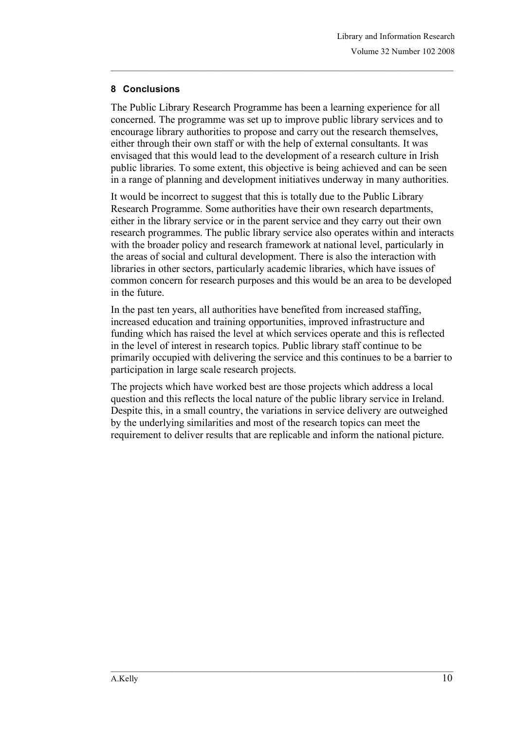## **8 Conclusions**

The Public Library Research Programme has been a learning experience for all concerned. The programme was set up to improve public library services and to encourage library authorities to propose and carry out the research themselves, either through their own staff or with the help of external consultants. It was envisaged that this would lead to the development of a research culture in Irish public libraries. To some extent, this objective is being achieved and can be seen in a range of planning and development initiatives underway in many authorities.

It would be incorrect to suggest that this is totally due to the Public Library Research Programme. Some authorities have their own research departments, either in the library service or in the parent service and they carry out their own research programmes. The public library service also operates within and interacts with the broader policy and research framework at national level, particularly in the areas of social and cultural development. There is also the interaction with libraries in other sectors, particularly academic libraries, which have issues of common concern for research purposes and this would be an area to be developed in the future.

In the past ten years, all authorities have benefited from increased staffing, increased education and training opportunities, improved infrastructure and funding which has raised the level at which services operate and this is reflected in the level of interest in research topics. Public library staff continue to be primarily occupied with delivering the service and this continues to be a barrier to participation in large scale research projects.

The projects which have worked best are those projects which address a local question and this reflects the local nature of the public library service in Ireland. Despite this, in a small country, the variations in service delivery are outweighed by the underlying similarities and most of the research topics can meet the requirement to deliver results that are replicable and inform the national picture.